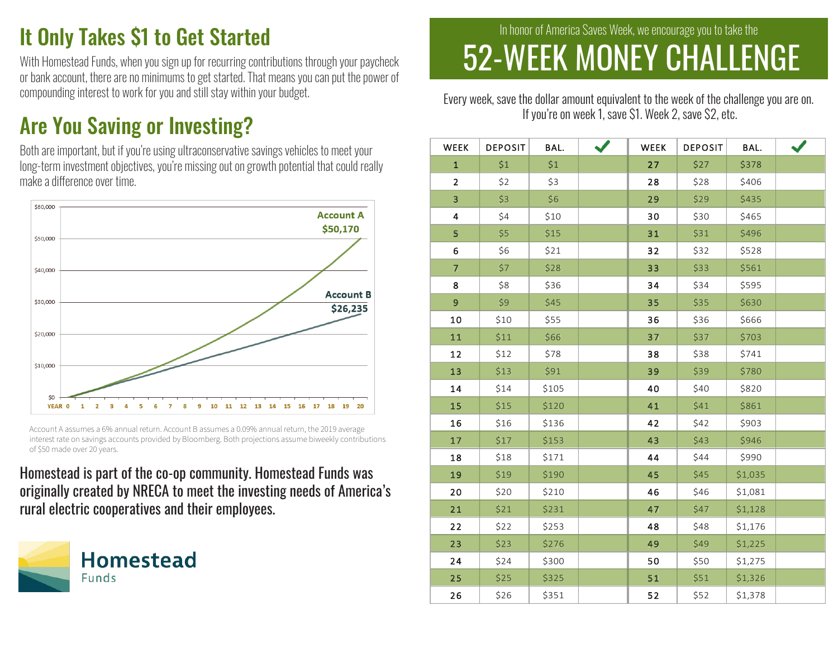## It Only Takes \$1 to Get Started

With Homestead Funds, when you sign up for recurring contributions through your paycheck or bank account, there are no minimums to get started. That means you can put the power of compounding interest to work for you and still stay within your budget.

### Are You Saving or Investing?



### Homestead is part of the co-op community. Homestead Funds was originally created by NRECA to meet the investing needs of America's rural electric cooperatives and their employees.



# 52-WEEK MONEY CHALLENGEIn honor of America Saves Week, we encourage you to take the

Every week, save the dollar amount equivalent to the week of the challenge you are on. If you're on week 1, save \$1. Week 2, save \$2, etc.

| th are important, but if you're using ultraconservative savings vehicles to meet your                                                                                                                                                     | WEEK           | <b>DEPOSIT</b> | BAL.  | $\checkmark$ | <b>WEEK</b> | <b>DEPOSIT</b> | BAL.    |  |
|-------------------------------------------------------------------------------------------------------------------------------------------------------------------------------------------------------------------------------------------|----------------|----------------|-------|--------------|-------------|----------------|---------|--|
| g-term investment objectives, you're missing out on growth potential that could really                                                                                                                                                    | $\mathbf{1}$   | \$1            | \$1   |              | 27          | \$27           | \$378   |  |
| ake a difference over time.                                                                                                                                                                                                               | $\overline{2}$ | \$2            | \$3   |              | 28          | \$28           | \$406   |  |
| \$60,000                                                                                                                                                                                                                                  | $\overline{3}$ | \$3            | \$6   |              | 29          | \$29           | \$435   |  |
| <b>Account A</b>                                                                                                                                                                                                                          | 4              | \$4            | \$10  |              | 30          | \$30           | \$465   |  |
| \$50,170<br>\$50,000                                                                                                                                                                                                                      | 5              | \$5            | \$15  |              | 31          | \$31           | \$496   |  |
|                                                                                                                                                                                                                                           | 6              | \$6            | \$21  |              | 32          | \$32           | \$528   |  |
| \$40,000                                                                                                                                                                                                                                  | $\overline{7}$ | \$7            | \$28  |              | 33          | \$33           | \$561   |  |
|                                                                                                                                                                                                                                           | 8              | \$8            | \$36  |              | 34          | \$34           | \$595   |  |
| <b>Account B</b><br>\$30,000<br>\$26,235                                                                                                                                                                                                  | $\overline{9}$ | \$9            | \$45  |              | 35          | \$35           | \$630   |  |
|                                                                                                                                                                                                                                           | 10             | \$10           | \$55  |              | 36          | \$36           | \$666   |  |
| \$20,000                                                                                                                                                                                                                                  | 11             | \$11           | \$66  |              | 37          | <b>\$37</b>    | \$703   |  |
|                                                                                                                                                                                                                                           | 12             | \$12           | \$78  |              | 38          | \$38           | \$741   |  |
| \$10,000                                                                                                                                                                                                                                  | 13             | \$13           | \$91  |              | 39          | \$39           | \$780   |  |
|                                                                                                                                                                                                                                           | 14             | \$14           | \$105 |              | 40          | \$40           | \$820   |  |
| YEAR 0<br>10<br>11 12 13 14 15 16 17 18 19 20<br>9                                                                                                                                                                                        | 15             | \$15           | \$120 |              | 41          | \$41           | \$861   |  |
| Account A assumes a 6% annual return. Account B assumes a 0.09% annual return, the 2019 average<br>interest rate on savings accounts provided by Bloomberg. Both projections assume biweekly contributions<br>of \$50 made over 20 years. | 16             | \$16           | \$136 |              | 42          | \$42           | \$903   |  |
|                                                                                                                                                                                                                                           | 17             | \$17           | \$153 |              | 43          | \$43           | \$946   |  |
|                                                                                                                                                                                                                                           | 18             | \$18           | \$171 |              | 44          | \$44           | \$990   |  |
| omestead is part of the co-op community. Homestead Funds was                                                                                                                                                                              | 19             | \$19           | \$190 |              | 45          | \$45           | \$1,035 |  |
| iginally created by NRECA to meet the investing needs of America's                                                                                                                                                                        | 20             | \$20           | \$210 |              | 46          | \$46           | \$1,081 |  |
| ral electric cooperatives and their employees.                                                                                                                                                                                            | 21             | \$21           | \$231 |              | 47          | \$47           | \$1,128 |  |
| <b>Homestead</b><br><b>Funds</b>                                                                                                                                                                                                          | 22             | \$22           | \$253 |              | 48          | \$48           | \$1,176 |  |
|                                                                                                                                                                                                                                           | 23             | \$23           | \$276 |              | 49          | \$49           | \$1,225 |  |
|                                                                                                                                                                                                                                           | 24             | \$24           | \$300 |              | 50          | \$50           | \$1,275 |  |
|                                                                                                                                                                                                                                           | 25             | \$25           | \$325 |              | 51          | \$51           | \$1,326 |  |
|                                                                                                                                                                                                                                           | 26             | \$26           | \$351 |              | 52          | \$52           | \$1,378 |  |